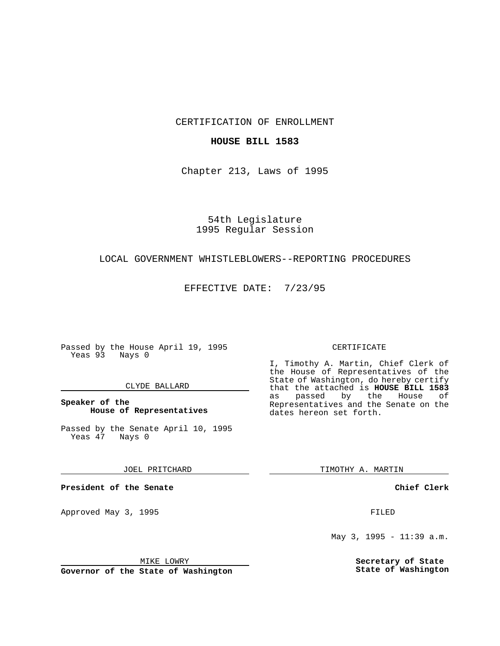CERTIFICATION OF ENROLLMENT

## **HOUSE BILL 1583**

Chapter 213, Laws of 1995

54th Legislature 1995 Regular Session

# LOCAL GOVERNMENT WHISTLEBLOWERS--REPORTING PROCEDURES

EFFECTIVE DATE: 7/23/95

Passed by the House April 19, 1995 Yeas 93 Nays 0

### CLYDE BALLARD

## **Speaker of the House of Representatives**

Passed by the Senate April 10, 1995<br>Yeas 47 Nays 0 Yeas 47

JOEL PRITCHARD

**President of the Senate**

Approved May 3, 1995 **FILED** 

MIKE LOWRY

**Governor of the State of Washington**

#### CERTIFICATE

I, Timothy A. Martin, Chief Clerk of the House of Representatives of the State of Washington, do hereby certify that the attached is **HOUSE BILL 1583** as passed by the Representatives and the Senate on the dates hereon set forth.

TIMOTHY A. MARTIN

**Chief Clerk**

May 3, 1995 - 11:39 a.m.

**Secretary of State State of Washington**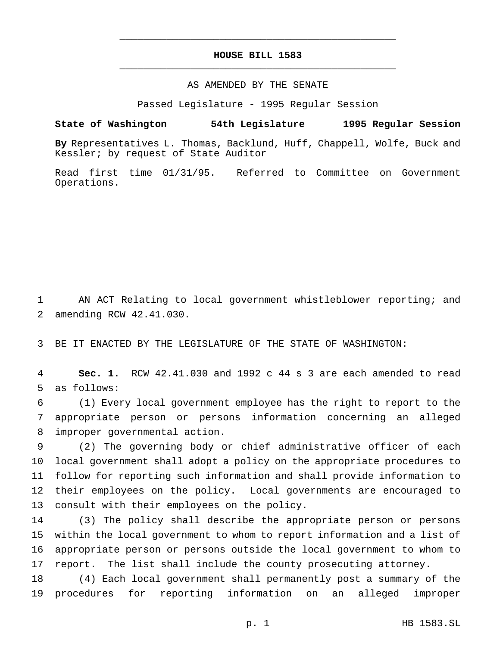# **HOUSE BILL 1583** \_\_\_\_\_\_\_\_\_\_\_\_\_\_\_\_\_\_\_\_\_\_\_\_\_\_\_\_\_\_\_\_\_\_\_\_\_\_\_\_\_\_\_\_\_\_\_

\_\_\_\_\_\_\_\_\_\_\_\_\_\_\_\_\_\_\_\_\_\_\_\_\_\_\_\_\_\_\_\_\_\_\_\_\_\_\_\_\_\_\_\_\_\_\_

### AS AMENDED BY THE SENATE

Passed Legislature - 1995 Regular Session

#### **State of Washington 54th Legislature 1995 Regular Session**

**By** Representatives L. Thomas, Backlund, Huff, Chappell, Wolfe, Buck and Kessler; by request of State Auditor

Read first time 01/31/95. Referred to Committee on Government Operations.

 AN ACT Relating to local government whistleblower reporting; and amending RCW 42.41.030.

BE IT ENACTED BY THE LEGISLATURE OF THE STATE OF WASHINGTON:

 **Sec. 1.** RCW 42.41.030 and 1992 c 44 s 3 are each amended to read as follows:

 (1) Every local government employee has the right to report to the appropriate person or persons information concerning an alleged improper governmental action.

 (2) The governing body or chief administrative officer of each local government shall adopt a policy on the appropriate procedures to follow for reporting such information and shall provide information to their employees on the policy. Local governments are encouraged to consult with their employees on the policy.

 (3) The policy shall describe the appropriate person or persons within the local government to whom to report information and a list of appropriate person or persons outside the local government to whom to report. The list shall include the county prosecuting attorney.

 (4) Each local government shall permanently post a summary of the procedures for reporting information on an alleged improper